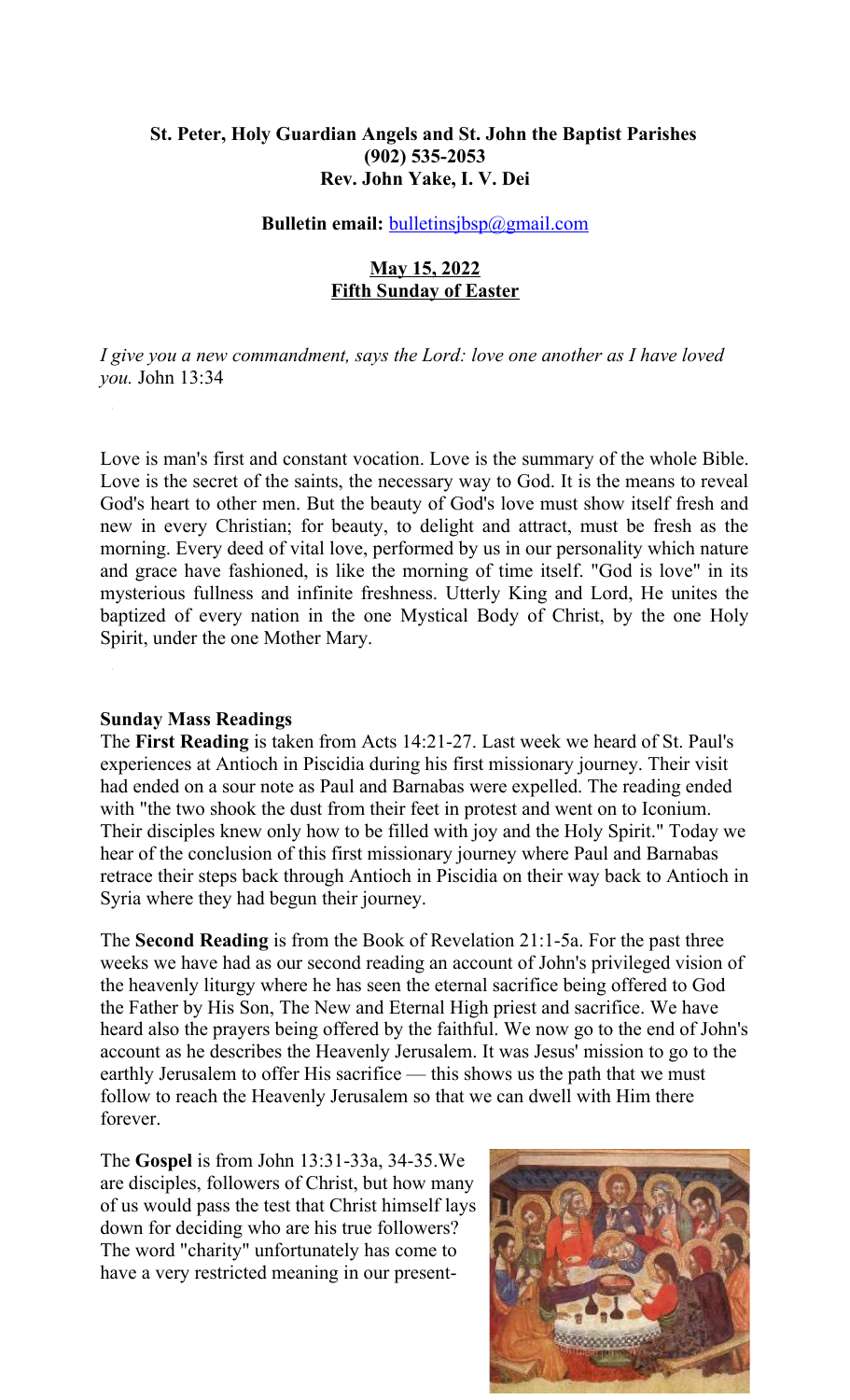### **St. Peter, Holy Guardian Angels and St. John the Baptist Parishes (902) 535-2053 Rev. John Yake, I. V. Dei**

#### **Bulletin email:** [bulletinsjbsp@gmail.com](mailto:bulletinsjbsp@gmail.com)

### **May 15, 2022 Fifth Sunday of Easter**

*I give you a new commandment, says the Lord: love one another as I have loved you.* John 13:34

Love is man's first and constant vocation. Love is the summary of the whole Bible. Love is the secret of the saints, the necessary way to God. It is the means to reveal God's heart to other men. But the beauty of God's love must show itself fresh and new in every Christian; for beauty, to delight and attract, must be fresh as the morning. Every deed of vital love, performed by us in our personality which nature and grace have fashioned, is like the morning of time itself. "God is love" in its mysterious fullness and infinite freshness. Utterly King and Lord, He unites the baptized of every nation in the one Mystical Body of Christ, by the one Holy Spirit, under the one Mother Mary.

#### **Sunday Mass Readings**

The **First Reading** is taken from Acts 14:21-27. Last week we heard of St. Paul's experiences at Antioch in Piscidia during his first missionary journey. Their visit had ended on a sour note as Paul and Barnabas were expelled. The reading ended with "the two shook the dust from their feet in protest and went on to Iconium. Their disciples knew only how to be filled with joy and the Holy Spirit." Today we hear of the conclusion of this first missionary journey where Paul and Barnabas retrace their steps back through Antioch in Piscidia on their way back to Antioch in Syria where they had begun their journey.

The **Second Reading** is from the Book of Revelation 21:1-5a. For the past three weeks we have had as our second reading an account of John's privileged vision of the heavenly liturgy where he has seen the eternal sacrifice being offered to God the Father by His Son, The New and Eternal High priest and sacrifice. We have heard also the prayers being offered by the faithful. We now go to the end of John's account as he describes the Heavenly Jerusalem. It was Jesus' mission to go to the earthly Jerusalem to offer His sacrifice — this shows us the path that we must follow to reach the Heavenly Jerusalem so that we can dwell with Him there forever.

The **Gospel** is from John 13:31-33a, 34-35.We are disciples, followers of Christ, but how many of us would pass the test that Christ himself lays down for deciding who are his true followers? The word "charity" unfortunately has come to have a very restricted meaning in our present-

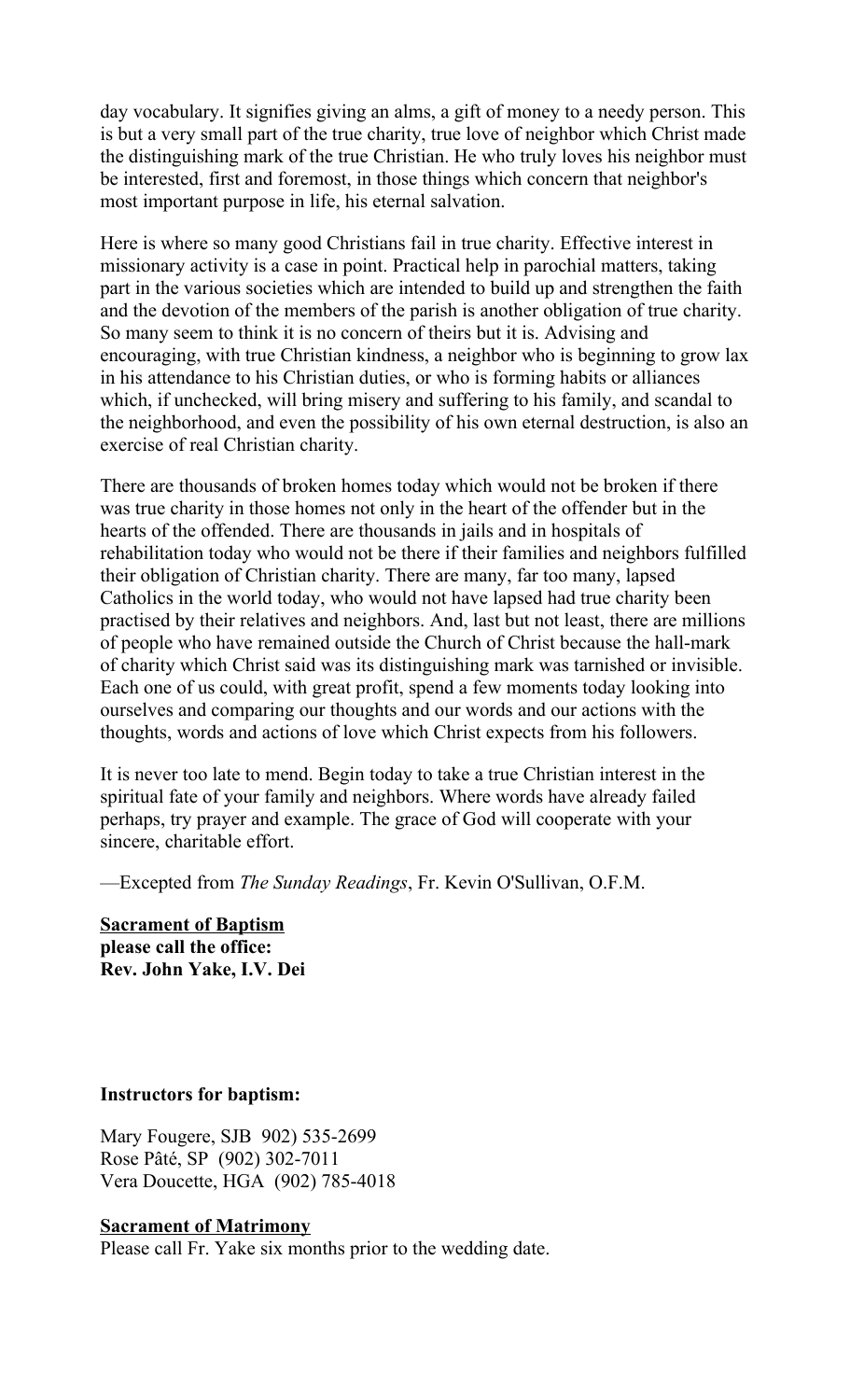day vocabulary. It signifies giving an alms, a gift of money to a needy person. This is but a very small part of the true charity, true love of neighbor which Christ made the distinguishing mark of the true Christian. He who truly loves his neighbor must be interested, first and foremost, in those things which concern that neighbor's most important purpose in life, his eternal salvation.

Here is where so many good Christians fail in true charity. Effective interest in missionary activity is a case in point. Practical help in parochial matters, taking part in the various societies which are intended to build up and strengthen the faith and the devotion of the members of the parish is another obligation of true charity. So many seem to think it is no concern of theirs but it is. Advising and encouraging, with true Christian kindness, a neighbor who is beginning to grow lax in his attendance to his Christian duties, or who is forming habits or alliances which, if unchecked, will bring misery and suffering to his family, and scandal to the neighborhood, and even the possibility of his own eternal destruction, is also an exercise of real Christian charity.

There are thousands of broken homes today which would not be broken if there was true charity in those homes not only in the heart of the offender but in the hearts of the offended. There are thousands in jails and in hospitals of rehabilitation today who would not be there if their families and neighbors fulfilled their obligation of Christian charity. There are many, far too many, lapsed Catholics in the world today, who would not have lapsed had true charity been practised by their relatives and neighbors. And, last but not least, there are millions of people who have remained outside the Church of Christ because the hall-mark of charity which Christ said was its distinguishing mark was tarnished or invisible. Each one of us could, with great profit, spend a few moments today looking into ourselves and comparing our thoughts and our words and our actions with the thoughts, words and actions of love which Christ expects from his followers.

It is never too late to mend. Begin today to take a true Christian interest in the spiritual fate of your family and neighbors. Where words have already failed perhaps, try prayer and example. The grace of God will cooperate with your sincere, charitable effort.

—Excepted from *The Sunday Readings*, Fr. Kevin O'Sullivan, O.F.M.

**Sacrament of Baptism please call the office: Rev. John Yake, I.V. Dei**

#### **Instructors for baptism:**

Mary Fougere, SJB 902) 535-2699 Rose Pâté, SP (902) 302-7011 Vera Doucette, HGA (902) 785-4018

#### **Sacrament of Matrimony**

Please call Fr. Yake six months prior to the wedding date.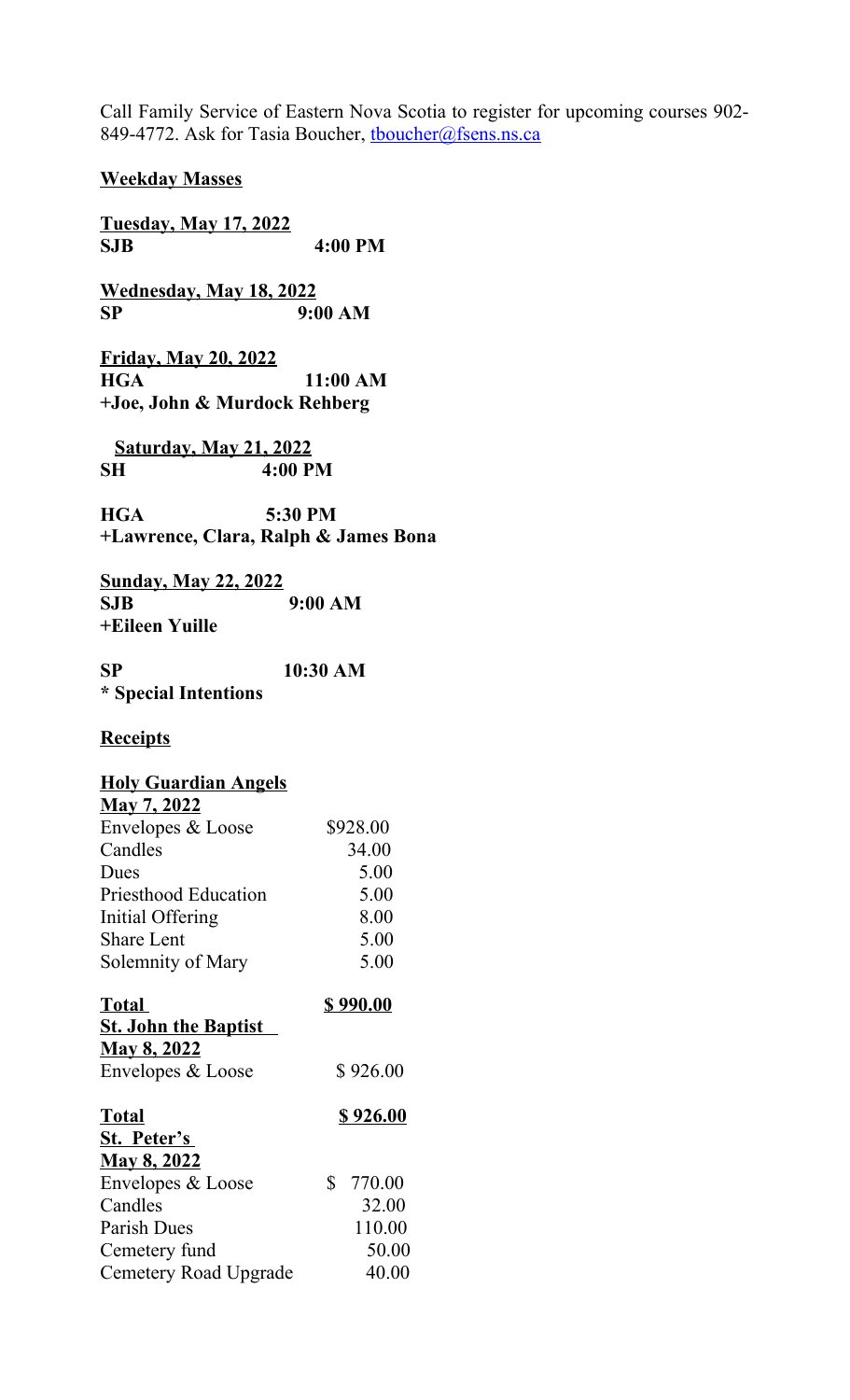Call Family Service of Eastern Nova Scotia to register for upcoming courses 902- 849-4772. Ask for Tasia Boucher, thoucher@fsens.ns.ca

**Weekday Masses**

**Tuesday, May 17, 2022 SJB 4:00 PM**

**Wednesday, May 18, 2022 SP 9:00 AM**

**Friday, May 20, 2022 HGA 11:00 AM +Joe, John & Murdock Rehberg**

 **Saturday, May 21, 2022 SH 4:00 PM**

**HGA 5:30 PM +Lawrence, Clara, Ralph & James Bona**

**Sunday, May 22, 2022 SJB 9:00 AM +Eileen Yuille**

**SP 10:30 AM \* Special Intentions**

### **Receipts**

### **Holy Guardian Angels**

| <b>May 7, 2022</b>          |          |
|-----------------------------|----------|
| Envelopes & Loose           | \$928.00 |
| Candles                     | 34.00    |
| Dues                        | 5.00     |
| <b>Priesthood Education</b> | 5.00     |
| Initial Offering            | 8.00     |
| <b>Share Lent</b>           | 5.00     |
| Solemnity of Mary           | 5.00     |
|                             |          |

| <b>Total</b>                | \$990.00 |
|-----------------------------|----------|
| <b>St. John the Baptist</b> |          |
| <u>May 8, 2022</u>          |          |
| Envelopes & Loose           | \$926.00 |

| <b>Total</b>          | \$926.00  |
|-----------------------|-----------|
| St. Peter's           |           |
| <b>May 8, 2022</b>    |           |
| Envelopes & Loose     | \$ 770.00 |
| Candles               | 32.00     |
| Parish Dues           | 110.00    |
| Cemetery fund         | 50.00     |
| Cemetery Road Upgrade | 40.00     |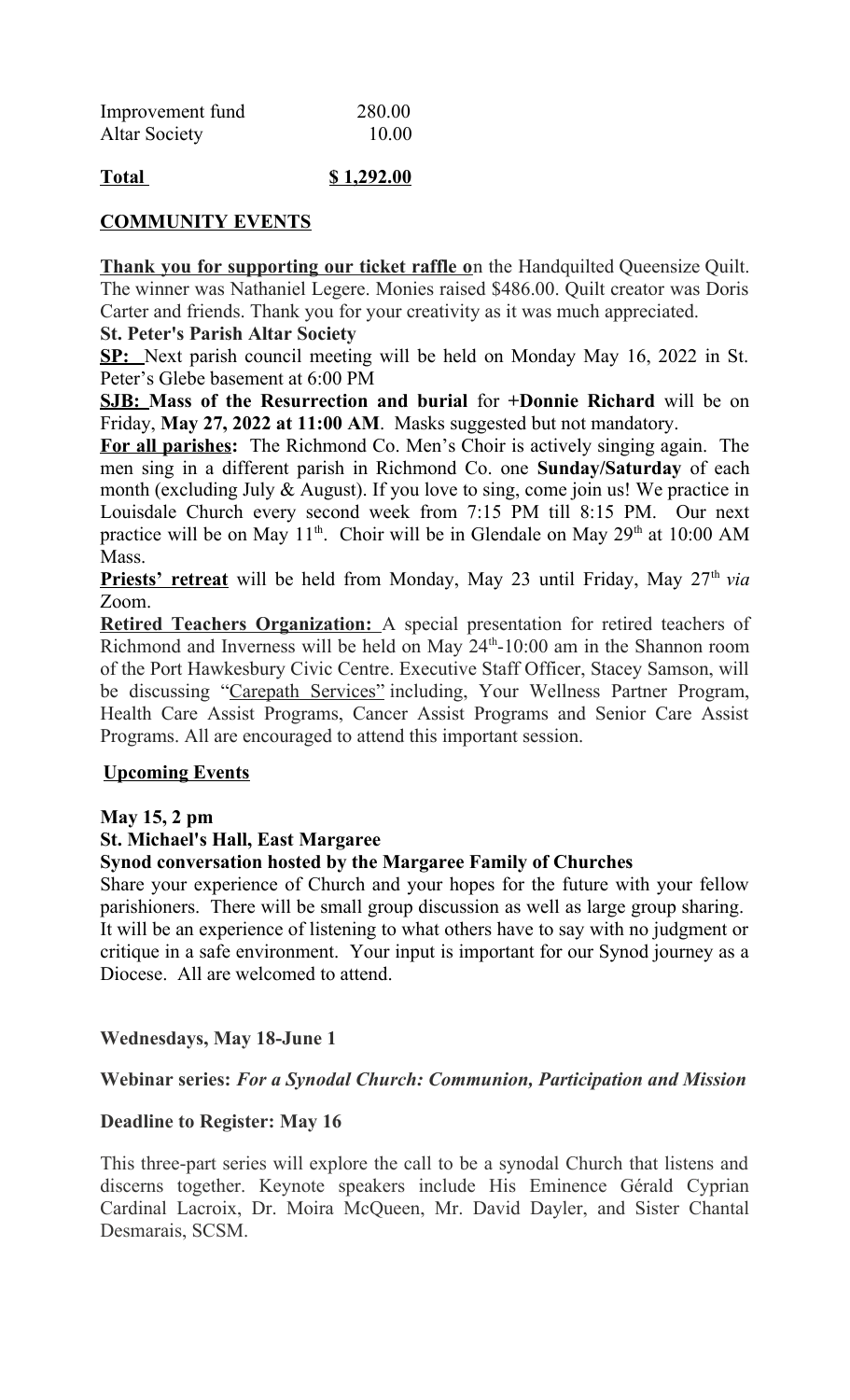| Improvement fund     | 280.00 |
|----------------------|--------|
| <b>Altar Society</b> | 10.00  |

## **Total \$ 1,292.00**

### **COMMUNITY EVENTS**

**Thank you for supporting our ticket raffle o**n the Handquilted Queensize Quilt. The winner was Nathaniel Legere. Monies raised \$486.00. Quilt creator was Doris Carter and friends. Thank you for your creativity as it was much appreciated.

### **St. Peter's Parish Altar Society**

**SP:** Next parish council meeting will be held on Monday May 16, 2022 in St. Peter's Glebe basement at 6:00 PM

**SJB: Mass of the Resurrection and burial** for **+Donnie Richard** will be on Friday, **May 27, 2022 at 11:00 AM**. Masks suggested but not mandatory.

**For all parishes:** The Richmond Co. Men's Choir is actively singing again. The men sing in a different parish in Richmond Co. one **Sunday/Saturday** of each month (excluding July & August). If you love to sing, come join us! We practice in Louisdale Church every second week from 7:15 PM till 8:15 PM. Our next practice will be on May  $11<sup>th</sup>$ . Choir will be in Glendale on May  $29<sup>th</sup>$  at 10:00 AM Mass.

**Priests' retreat** will be held from Monday, May 23 until Friday, May 27<sup>th</sup> *via* Zoom.

 **Retired Teachers Organization:** A special presentation for retired teachers of Richmond and Inverness will be held on May  $24<sup>th</sup>$ -10:00 am in the Shannon room of the Port Hawkesbury Civic Centre. Executive Staff Officer, Stacey Samson, will be discussing "Carepath Services" including, Your Wellness Partner Program, Health Care Assist Programs, Cancer Assist Programs and Senior Care Assist Programs. All are encouraged to attend this important session.

### **Upcoming Events**

### **May 15, 2 pm**

## **St. Michael's Hall, East Margaree**

## **Synod conversation hosted by the Margaree Family of Churches**

Share your experience of Church and your hopes for the future with your fellow parishioners. There will be small group discussion as well as large group sharing. It will be an experience of listening to what others have to say with no judgment or critique in a safe environment. Your input is important for our Synod journey as a Diocese. All are welcomed to attend.

### **Wednesdays, May 18-June 1**

### **Webinar series:** *For a Synodal Church: Communion, Participation and Mission*

### **Deadline to Register: May 16**

This three-part series will explore the call to be a synodal Church that listens and discerns together. Keynote speakers include His Eminence Gérald Cyprian Cardinal Lacroix, Dr. Moira McQueen, Mr. David Dayler, and Sister Chantal Desmarais, SCSM.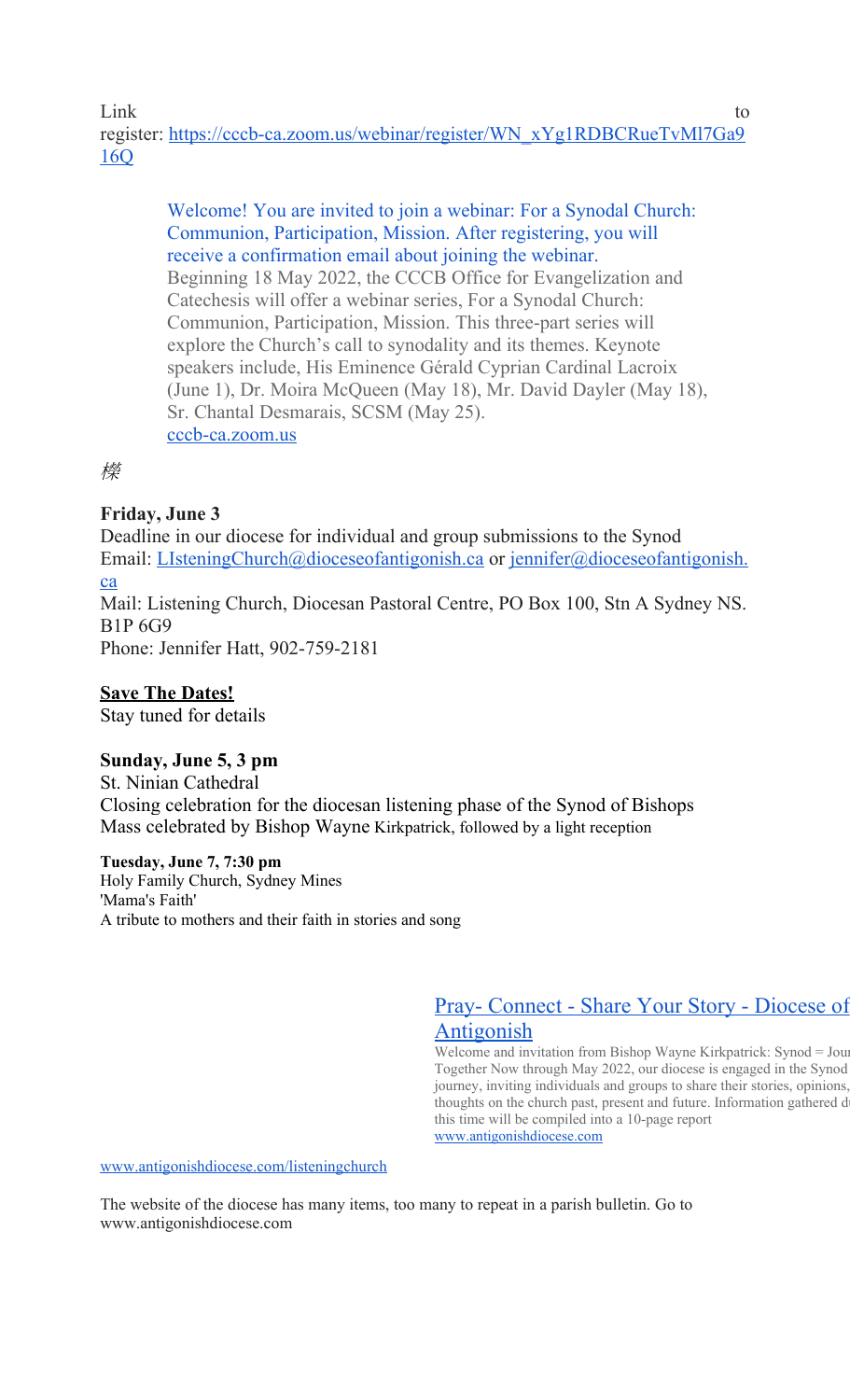Link to the contract of the contract of the contract of the contract of the contract of the contract of the contract of the contract of the contract of the contract of the contract of the contract of the contract of the co register: [https://cccb-ca.zoom.us/webinar/register/WN\\_xYg1RDBCRueTvMl7Ga9](https://cccb-ca.zoom.us/webinar/register/WN_xYg1RDBCRueTvMl7Ga916Q) [16Q](https://cccb-ca.zoom.us/webinar/register/WN_xYg1RDBCRueTvMl7Ga916Q)

> [Welcome! You are invited to join a webinar: For a Synodal Church:](https://cccb-ca.zoom.us/webinar/register/WN_xYg1RDBCRueTvMl7Ga916Q)  [Communion, Participation, Mission. After registering, you will](https://cccb-ca.zoom.us/webinar/register/WN_xYg1RDBCRueTvMl7Ga916Q)  [receive a confirmation email about joining the webinar.](https://cccb-ca.zoom.us/webinar/register/WN_xYg1RDBCRueTvMl7Ga916Q) Beginning 18 May 2022, the CCCB Office for Evangelization and Catechesis will offer a webinar series, For a Synodal Church: Communion, Participation, Mission. This three-part series will explore the Church's call to synodality and its themes. Keynote speakers include, His Eminence Gérald Cyprian Cardinal Lacroix (June 1), Dr. Moira McQueen (May 18), Mr. David Dayler (May 18), Sr. Chantal Desmarais, SCSM (May 25). [cccb-ca.zoom.us](http://cccb-ca.zoom.us/)

櫟

## **Friday, June 3**

Deadline in our diocese for individual and group submissions to the Synod Email: [LIsteningChurch@dioceseofantigonish.ca](mailto:LIsteningChurch@dioceseofantigonish.ca) or [jennifer@dioceseofantigonish.](mailto:jennifer@dioceseofantigonish.ca) [ca](mailto:jennifer@dioceseofantigonish.ca)

Mail: Listening Church, Diocesan Pastoral Centre, PO Box 100, Stn A Sydney NS. B1P 6G9

Phone: Jennifer Hatt, 902-759-2181

# **Save The Dates!**

Stay tuned for details

## **Sunday, June 5, 3 pm**

St. Ninian Cathedral Closing celebration for the diocesan listening phase of the Synod of Bishops Mass celebrated by Bishop Wayne Kirkpatrick, followed by a light reception

### **Tuesday, June 7, 7:30 pm**

Holy Family Church, Sydney Mines 'Mama's Faith' A tribute to mothers and their faith in stories and song

> [Pray- Connect - Share Your Story - Diocese of](http://www.antigonishdiocese.com/listeningchurch)  [Antigonish](http://www.antigonishdiocese.com/listeningchurch)

> Welcome and invitation from Bishop Wayne Kirkpatrick: Synod = Jour Together Now through May 2022, our diocese is engaged in the Synod journey, inviting individuals and groups to share their stories, opinions, thoughts on the church past, present and future. Information gathered d this time will be compiled into a 10-page report [www.antigonishdiocese.com](http://www.antigonishdiocese.com/)

[www.antigonishdiocese.com/listeningchurch](http://www.antigonishdiocese.com/listeningchurch)

The website of the diocese has many items, too many to repeat in a parish bulletin. Go to www.antigonishdiocese.com